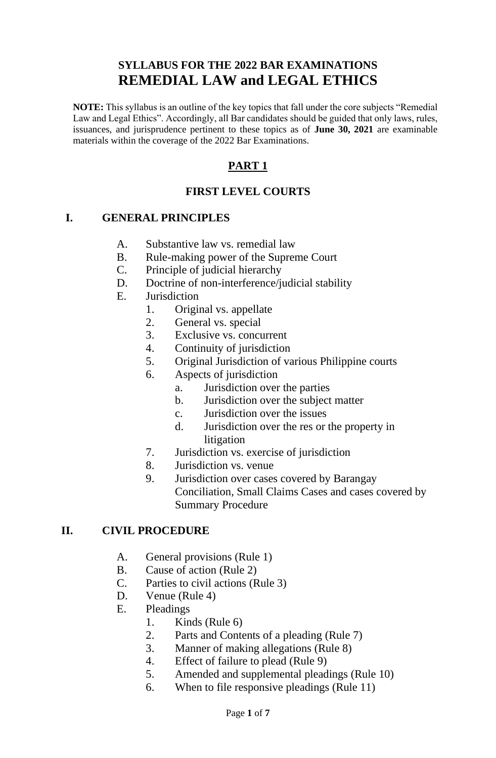# **SYLLABUS FOR THE 2022 BAR EXAMINATIONS REMEDIAL LAW and LEGAL ETHICS**

**NOTE:** This syllabus is an outline of the key topics that fall under the core subjects "Remedial Law and Legal Ethics". Accordingly, all Bar candidates should be guided that only laws, rules, issuances, and jurisprudence pertinent to these topics as of **June 30, 2021** are examinable materials within the coverage of the 2022 Bar Examinations.

# **PART 1**

## **FIRST LEVEL COURTS**

#### **I. GENERAL PRINCIPLES**

- A. Substantive law vs. remedial law
- B. Rule-making power of the Supreme Court
- C. Principle of judicial hierarchy
- D. Doctrine of non-interference/judicial stability
- E. Jurisdiction
	- 1. Original vs. appellate
	- 2. General vs. special
	- 3. Exclusive vs. concurrent
	- 4. Continuity of jurisdiction
	- 5. Original Jurisdiction of various Philippine courts
	- 6. Aspects of jurisdiction
		- a. Jurisdiction over the parties
		- b. Jurisdiction over the subject matter
		- c. Jurisdiction over the issues
		- d. Jurisdiction over the res or the property in litigation
	- 7. Jurisdiction vs. exercise of jurisdiction
	- 8. Jurisdiction vs. venue
	- 9. Jurisdiction over cases covered by Barangay Conciliation, Small Claims Cases and cases covered by Summary Procedure

#### **II. CIVIL PROCEDURE**

- A. General provisions (Rule 1)
- B. Cause of action (Rule 2)
- C. Parties to civil actions (Rule 3)
- D. Venue (Rule 4)
- E. Pleadings
	- 1. Kinds (Rule 6)
	- 2. Parts and Contents of a pleading (Rule 7)
	- 3. Manner of making allegations (Rule 8)
	- 4. Effect of failure to plead (Rule 9)
	- 5. Amended and supplemental pleadings (Rule 10)
	- 6. When to file responsive pleadings (Rule 11)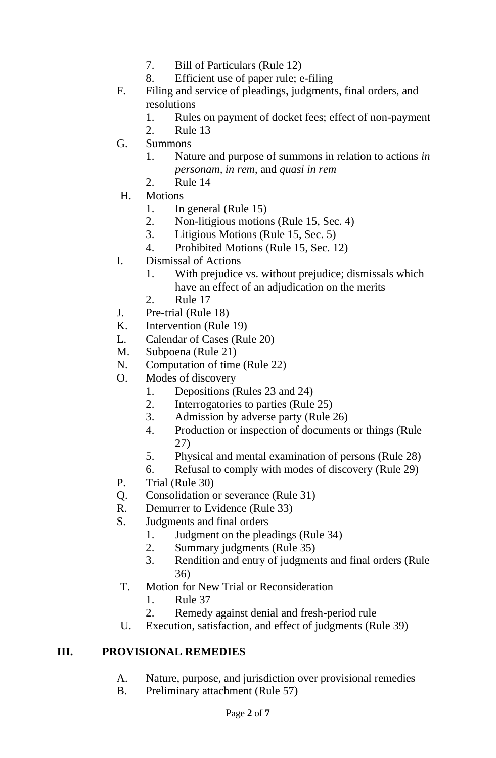- 7. Bill of Particulars (Rule 12)
- 8. Efficient use of paper rule; e-filing
- F. Filing and service of pleadings, judgments, final orders, and resolutions
	- 1. Rules on payment of docket fees; effect of non-payment
	- 2. Rule 13
- G. Summons
	- 1. Nature and purpose of summons in relation to actions *in personam, in rem*, and *quasi in rem*
	- 2. Rule 14
- H. Motions
	- 1. In general (Rule 15)
	- 2. Non-litigious motions (Rule 15, Sec. 4)
	- 3. Litigious Motions (Rule 15, Sec. 5)
	- 4. Prohibited Motions (Rule 15, Sec. 12)
- I. Dismissal of Actions
	- 1. With prejudice vs. without prejudice; dismissals which have an effect of an adjudication on the merits
	- 2. Rule 17
- J. Pre-trial (Rule 18)
- K. Intervention (Rule 19)
- L. Calendar of Cases (Rule 20)
- M. Subpoena (Rule 21)
- N. Computation of time (Rule 22)
- O. Modes of discovery
	- 1. Depositions (Rules 23 and 24)
	- 2. Interrogatories to parties (Rule 25)
	- 3. Admission by adverse party (Rule 26)
	- 4. Production or inspection of documents or things (Rule 27)
	- 5. Physical and mental examination of persons (Rule 28)
	- 6. Refusal to comply with modes of discovery (Rule 29)
- P. Trial (Rule 30)
- Q. Consolidation or severance (Rule 31)
- R. Demurrer to Evidence (Rule 33)
- S. Judgments and final orders
	- 1. Judgment on the pleadings (Rule 34)
	- 2. Summary judgments (Rule 35)
	- 3. Rendition and entry of judgments and final orders (Rule 36)
- T. Motion for New Trial or Reconsideration
	- 1. Rule 37
	- 2. Remedy against denial and fresh-period rule
- U. Execution, satisfaction, and effect of judgments (Rule 39)

### **III. PROVISIONAL REMEDIES**

- A. Nature, purpose, and jurisdiction over provisional remedies
- B. Preliminary attachment (Rule 57)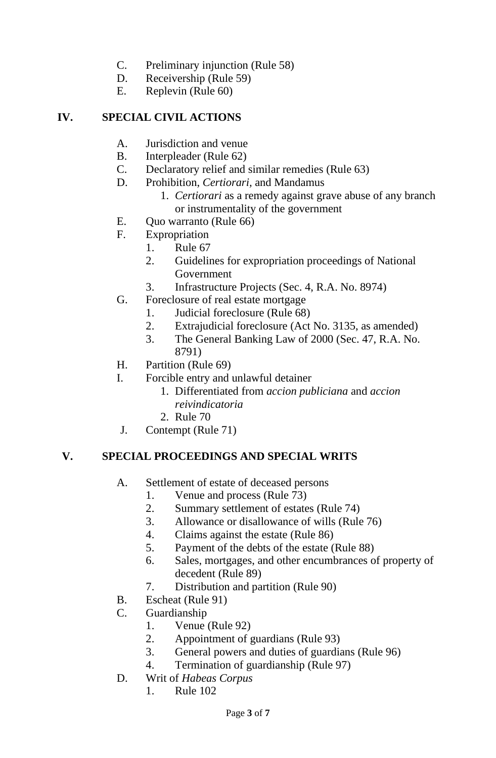- C. Preliminary injunction (Rule 58)
- D. Receivership (Rule 59)
- E. Replevin (Rule 60)

## **IV. SPECIAL CIVIL ACTIONS**

- A. Jurisdiction and venue
- B. Interpleader (Rule 62)
- C. Declaratory relief and similar remedies (Rule 63)
- D. Prohibition, *Certiorari,* and Mandamus
	- 1. *Certiorari* as a remedy against grave abuse of any branch or instrumentality of the government
- E. Quo warranto (Rule 66)
- F. Expropriation
	- 1. Rule 67
		- 2. Guidelines for expropriation proceedings of National Government
		- 3. Infrastructure Projects (Sec. 4, R.A. No. 8974)
- G. Foreclosure of real estate mortgage
	- 1. Judicial foreclosure (Rule 68)
	- 2. Extrajudicial foreclosure (Act No. 3135, as amended)
	- 3. The General Banking Law of 2000 (Sec. 47, R.A. No. 8791)
- H. Partition (Rule 69)
- I. Forcible entry and unlawful detainer
	- 1. Differentiated from *accion publiciana* and *accion reivindicatoria*
	- 2. Rule 70
- J. Contempt (Rule 71)

## **V. SPECIAL PROCEEDINGS AND SPECIAL WRITS**

- A. Settlement of estate of deceased persons
	- 1. Venue and process (Rule 73)
	- 2. Summary settlement of estates (Rule 74)
	- 3. Allowance or disallowance of wills (Rule 76)
	- 4. Claims against the estate (Rule 86)
	- 5. Payment of the debts of the estate (Rule 88)
	- 6. Sales, mortgages, and other encumbrances of property of decedent (Rule 89)
	- 7. Distribution and partition (Rule 90)
- B. Escheat (Rule 91)
- C. Guardianship
	- 1. Venue (Rule 92)
	- 2. Appointment of guardians (Rule 93)
	- 3. General powers and duties of guardians (Rule 96)
	- 4. Termination of guardianship (Rule 97)
- D. Writ of *Habeas Corpus*
	- 1. Rule 102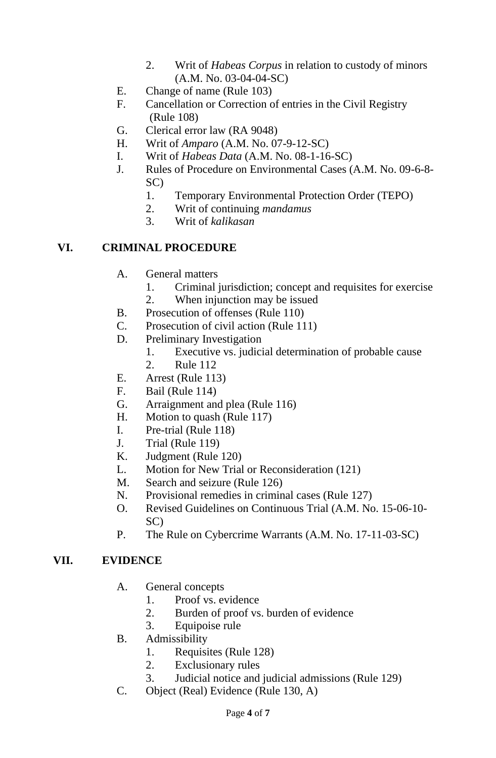- 2. Writ of *Habeas Corpus* in relation to custody of minors (A.M. No. 03-04-04-SC)
- E. Change of name (Rule 103)
- F. Cancellation or Correction of entries in the Civil Registry (Rule 108)
- G. Clerical error law (RA 9048)
- H. Writ of *Amparo* (A.M. No. 07-9-12-SC)
- I. Writ of *Habeas Data* (A.M. No. 08-1-16-SC)
- J. Rules of Procedure on Environmental Cases (A.M. No. 09-6-8- SC)
	- 1. Temporary Environmental Protection Order (TEPO)
	- 2. Writ of continuing *mandamus*
	- 3. Writ of *kalikasan*

#### **VI. CRIMINAL PROCEDURE**

- A. General matters
	- 1. Criminal jurisdiction; concept and requisites for exercise
	- 2. When injunction may be issued
- B. Prosecution of offenses (Rule 110)
- C. Prosecution of civil action (Rule 111)
- D. Preliminary Investigation
	- 1. Executive vs. judicial determination of probable cause
	- 2. Rule 112
- E. Arrest (Rule 113)
- F. Bail (Rule 114)
- G. Arraignment and plea (Rule 116)
- H. Motion to quash (Rule 117)
- I. Pre-trial (Rule 118)
- J. Trial (Rule 119)
- K. Judgment (Rule 120)
- L. Motion for New Trial or Reconsideration (121)
- M. Search and seizure (Rule 126)
- N. Provisional remedies in criminal cases (Rule 127)
- O. Revised Guidelines on Continuous Trial (A.M. No. 15-06-10- SC)
- P. The Rule on Cybercrime Warrants (A.M. No. 17-11-03-SC)

#### **VII. EVIDENCE**

- A. General concepts
	- 1. Proof vs. evidence
	- 2. Burden of proof vs. burden of evidence
	- 3. Equipoise rule
- B. Admissibility
	- 1. Requisites (Rule 128)
	- 2. Exclusionary rules
	- 3. Judicial notice and judicial admissions (Rule 129)
- C. Object (Real) Evidence (Rule 130, A)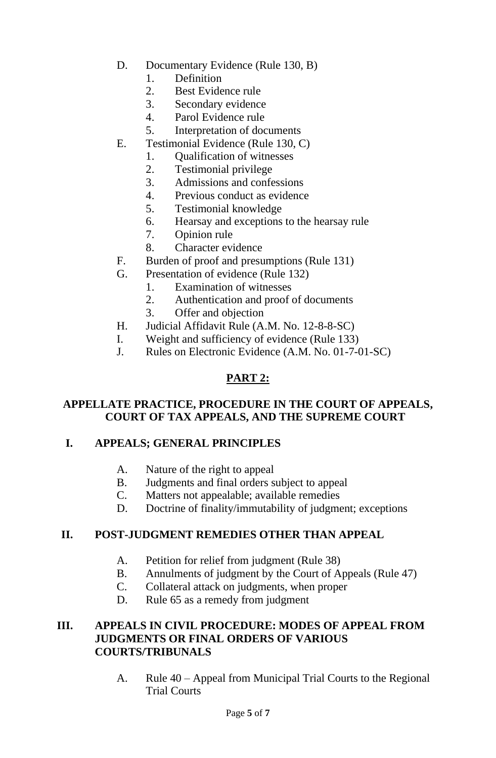- D. Documentary Evidence (Rule 130, B)
	- 1. Definition
	- 2. Best Evidence rule
	- 3. Secondary evidence
	- 4. Parol Evidence rule
	- 5. Interpretation of documents
- E. Testimonial Evidence (Rule 130, C)
	- 1. Qualification of witnesses
	- 2. Testimonial privilege
	- 3. Admissions and confessions
	- 4. Previous conduct as evidence
	- 5. Testimonial knowledge
	- 6. Hearsay and exceptions to the hearsay rule
	- 7. Opinion rule
	- 8. Character evidence
- F. Burden of proof and presumptions (Rule 131)
- G. Presentation of evidence (Rule 132)
	- 1. Examination of witnesses
	- 2. Authentication and proof of documents
	- 3. Offer and objection
- H. Judicial Affidavit Rule (A.M. No. 12-8-8-SC)
- I. Weight and sufficiency of evidence (Rule 133)
- J. Rules on Electronic Evidence (A.M. No. 01-7-01-SC)

# **PART 2:**

### **APPELLATE PRACTICE, PROCEDURE IN THE COURT OF APPEALS, COURT OF TAX APPEALS, AND THE SUPREME COURT**

### **I. APPEALS; GENERAL PRINCIPLES**

- A. Nature of the right to appeal
- B. Judgments and final orders subject to appeal
- C. Matters not appealable; available remedies
- D. Doctrine of finality/immutability of judgment; exceptions

## **II. POST-JUDGMENT REMEDIES OTHER THAN APPEAL**

- A. Petition for relief from judgment (Rule 38)
- B. Annulments of judgment by the Court of Appeals (Rule 47)
- C. Collateral attack on judgments, when proper
- D. Rule 65 as a remedy from judgment

#### **III. APPEALS IN CIVIL PROCEDURE: MODES OF APPEAL FROM JUDGMENTS OR FINAL ORDERS OF VARIOUS COURTS/TRIBUNALS**

A. Rule 40 – Appeal from Municipal Trial Courts to the Regional Trial Courts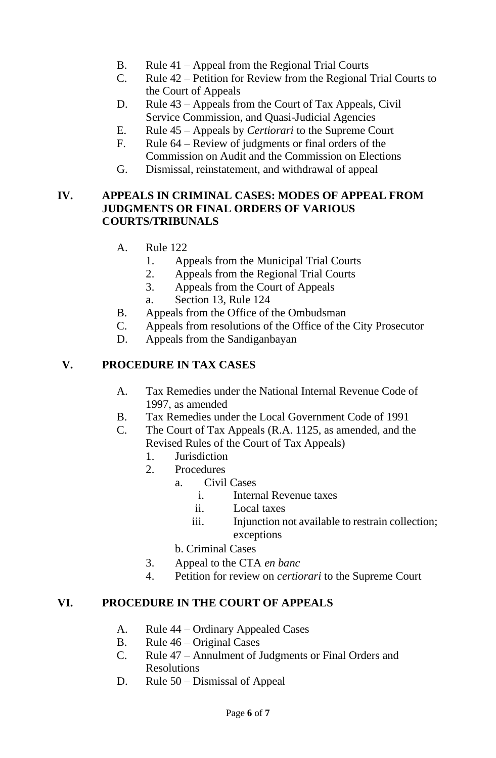- B. Rule 41 Appeal from the Regional Trial Courts
- C. Rule 42 Petition for Review from the Regional Trial Courts to the Court of Appeals
- D. Rule 43 Appeals from the Court of Tax Appeals, Civil Service Commission, and Quasi-Judicial Agencies
- E. Rule 45 Appeals by *Certiorari* to the Supreme Court
- F. Rule 64 Review of judgments or final orders of the Commission on Audit and the Commission on Elections
- G. Dismissal, reinstatement, and withdrawal of appeal

#### **IV. APPEALS IN CRIMINAL CASES: MODES OF APPEAL FROM JUDGMENTS OR FINAL ORDERS OF VARIOUS COURTS/TRIBUNALS**

- A. Rule 122
	- 1. Appeals from the Municipal Trial Courts
	- 2. Appeals from the Regional Trial Courts
	- 3. Appeals from the Court of Appeals
	- a. Section 13, Rule 124
- B. Appeals from the Office of the Ombudsman
- C. Appeals from resolutions of the Office of the City Prosecutor
- D. Appeals from the Sandiganbayan

## **V. PROCEDURE IN TAX CASES**

- A. Tax Remedies under the National Internal Revenue Code of 1997, as amended
- B. Tax Remedies under the Local Government Code of 1991
- C. The Court of Tax Appeals (R.A. 1125, as amended, and the Revised Rules of the Court of Tax Appeals)
	- 1. Jurisdiction
	- 2. Procedures
		- a. Civil Cases
			- i. Internal Revenue taxes
			- ii. Local taxes
			- iii. Injunction not available to restrain collection; exceptions
		- b. Criminal Cases
	- 3. Appeal to the CTA *en banc*
	- 4. Petition for review on *certiorari* to the Supreme Court

### **VI. PROCEDURE IN THE COURT OF APPEALS**

- A. Rule 44 Ordinary Appealed Cases
- B. Rule 46 Original Cases
- C. Rule 47 Annulment of Judgments or Final Orders and Resolutions
- D. Rule 50 Dismissal of Appeal